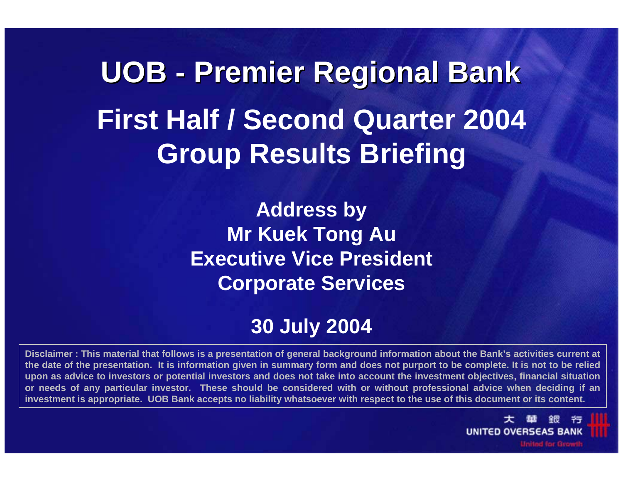**UOB - Premier Regional Bank Premier Regional Bank First Half / Second Quarter 2004 Group Results Briefing**

> **Address by Mr Kuek Tong Au Executive Vice President Corporate Services**

#### **30 July 2004**

**Disclaimer : This material that follows is a presentation of general background information about the Bank's activities current at the date of the presentation. It is information given in summary form and does not purport to be complete. It is not to be relied upon as advice to investors or potential investors and does not take into account the investment objectives, financial situation or needs of any particular investor. These should be considered with or without professional advice when deciding if an investment is appropriate. UOB Bank accepts no liability whatsoever with respect to the use of this document or its content.**

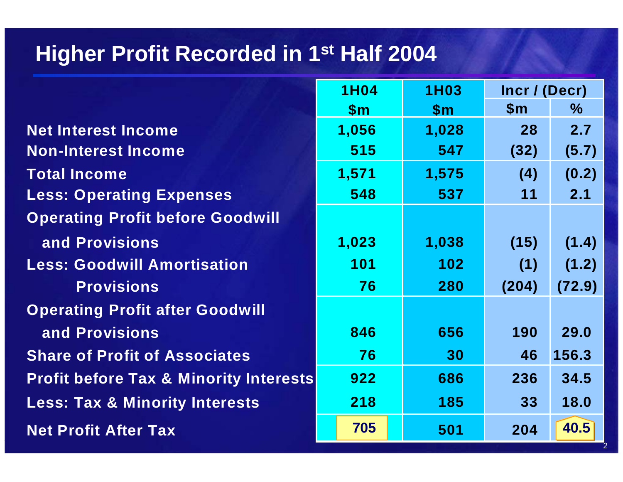# **Higher Profit Recorded in 1st Half 2004**

|                                                   | <b>1H04</b><br><b>1H03</b> |               | Incr / (Decr)  |               |
|---------------------------------------------------|----------------------------|---------------|----------------|---------------|
|                                                   | $\mathsf{Sm}$              | $\mathsf{Sm}$ | $\mathsf{S}$ m | $\frac{0}{0}$ |
| <b>Net Interest Income</b>                        | 1,056                      | 1,028         | 28             | 2.7           |
| <b>Non-Interest Income</b>                        | 515                        | 547           | (32)           | (5.7)         |
| <b>Total Income</b>                               | 1,571                      | 1,575         | (4)            | (0.2)         |
| <b>Less: Operating Expenses</b>                   | 548                        | 537           | 11             | 2.1           |
| <b>Operating Profit before Goodwill</b>           |                            |               |                |               |
| and Provisions                                    | 1,023                      | 1,038         | (15)           | (1.4)         |
| <b>Less: Goodwill Amortisation</b>                | 101                        | 102           | (1)            | (1.2)         |
| <b>Provisions</b>                                 | 76                         | 280           | (204)          | (72.9)        |
| <b>Operating Profit after Goodwill</b>            |                            |               |                |               |
| and Provisions                                    | 846                        | 656           | 190            | 29.0          |
| <b>Share of Profit of Associates</b>              | 76                         | 30            | 46             | 156.3         |
| <b>Profit before Tax &amp; Minority Interests</b> | 922                        | 686           | 236            | 34.5          |
| <b>Less: Tax &amp; Minority Interests</b>         | 218                        | 185           | 33             | 18.0          |
| <b>Net Profit After Tax</b>                       | 705                        | 501           | 204            | 40.5          |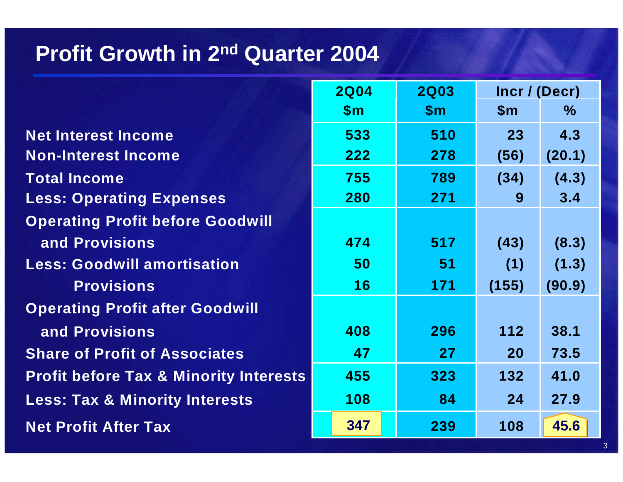#### **Profit Growth in 2nd Quarter 2004**

|                                                   | <b>2Q04</b><br><b>2Q03</b> |               | Incr / (Decr)  |        |
|---------------------------------------------------|----------------------------|---------------|----------------|--------|
|                                                   | $\mathsf{Sm}$              | $\mathsf{Sm}$ | $\mathsf{S}$ m | $\%$   |
| <b>Net Interest Income</b>                        | 533                        | 510           | 23             | 4.3    |
| <b>Non-Interest Income</b>                        | 222                        | 278           | (56)           | (20.1) |
| <b>Total Income</b>                               | 755                        | 789           | (34)           | (4.3)  |
| <b>Less: Operating Expenses</b>                   | 280                        | 271           | 9              | 3.4    |
| <b>Operating Profit before Goodwill</b>           |                            |               |                |        |
| and Provisions                                    | 474                        | 517           | (43)           | (8.3)  |
| <b>Less: Goodwill amortisation</b>                | 50                         | 51            | (1)            | (1.3)  |
| <b>Provisions</b>                                 | 16                         | 171           | (155)          | (90.9) |
| <b>Operating Profit after Goodwill</b>            |                            |               |                |        |
| and Provisions                                    | 408                        | 296           | 112            | 38.1   |
| <b>Share of Profit of Associates</b>              | 47                         | 27            | <b>20</b>      | 73.5   |
| <b>Profit before Tax &amp; Minority Interests</b> | 455                        | 323           | 132            | 41.0   |
| <b>Less: Tax &amp; Minority Interests</b>         | 108                        | 84            | 24             | 27.9   |
| <b>Net Profit After Tax</b>                       | 347                        | 239           | 108            | 45.6   |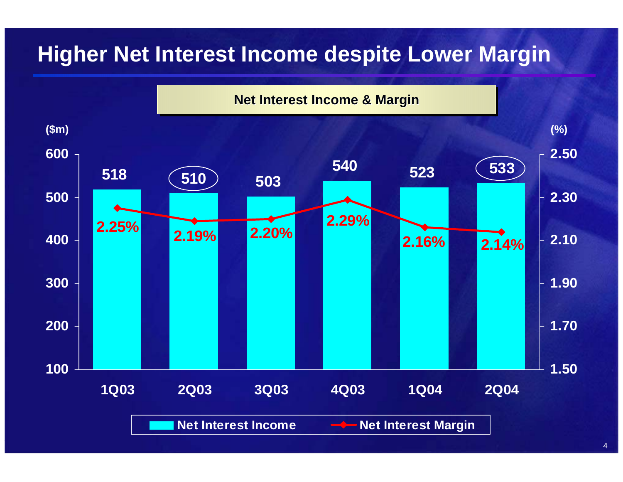# **Higher Net Interest Income despite Lower Margin**

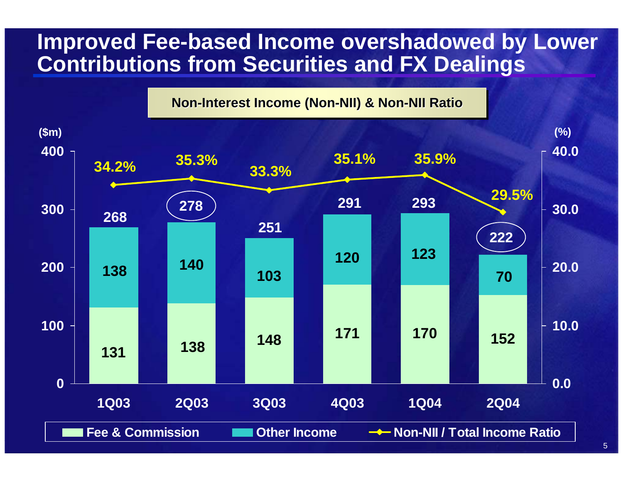#### **Improved Fee-based Income overshadowed by Lower Contributions from Securities and FX Dealings**

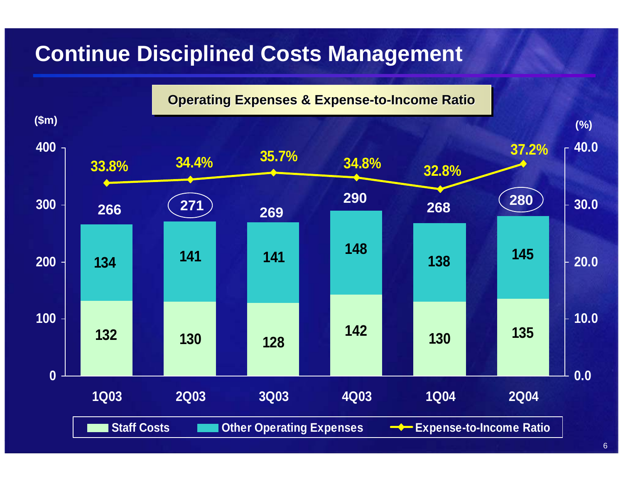# **Continue Disciplined Costs Management**

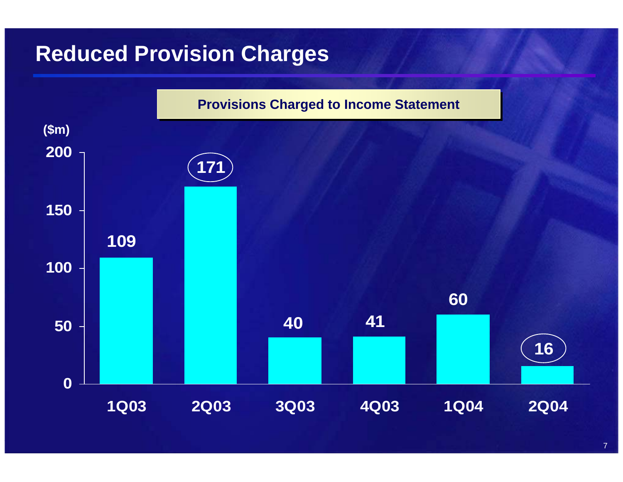# **Reduced Provision Charges**

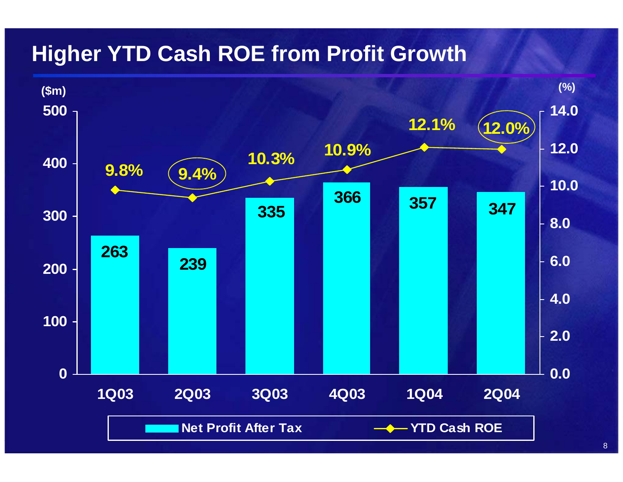# **Higher YTD Cash ROE from Profit Growth**

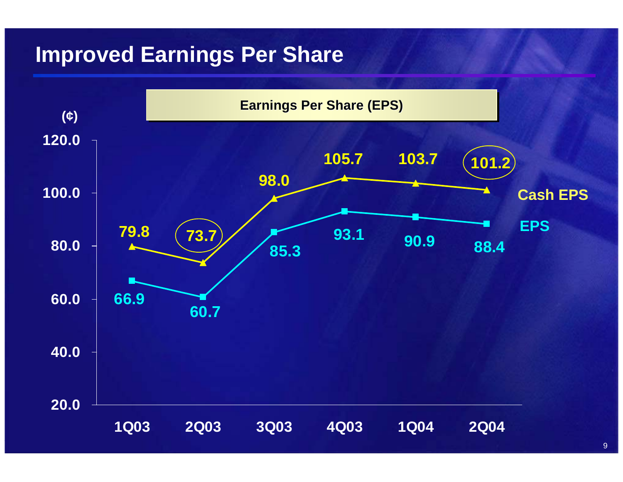# **Improved Earnings Per Share**



9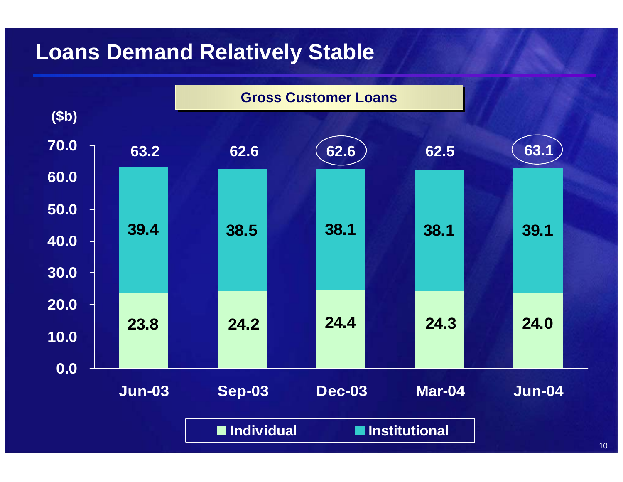# **Loans Demand Relatively Stable**

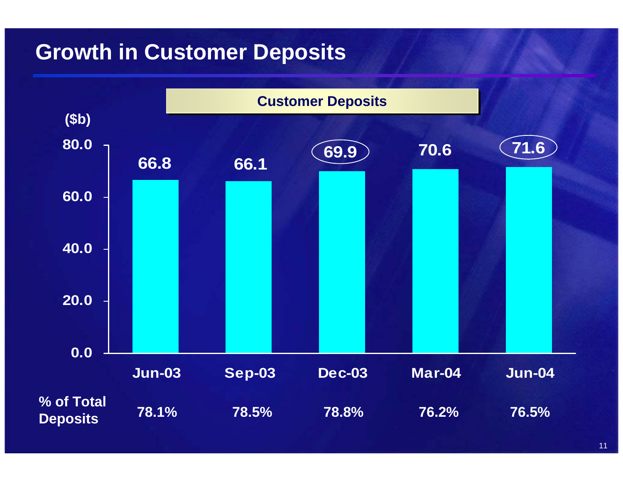# **Growth in Customer Deposits**

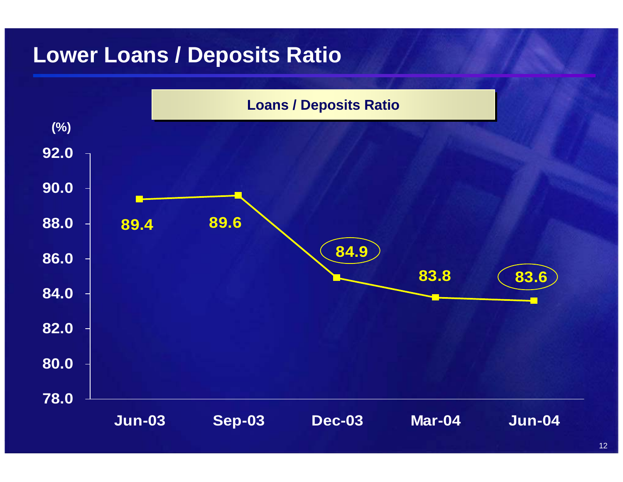### **Lower Loans / Deposits Ratio**

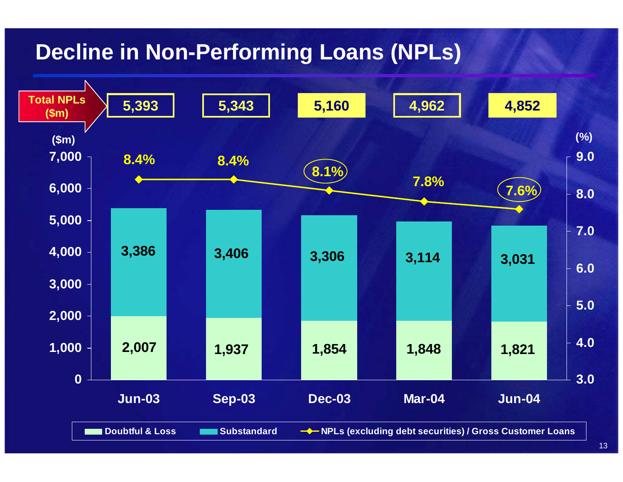# **Decline in Non-Performing Loans (NPLs)**

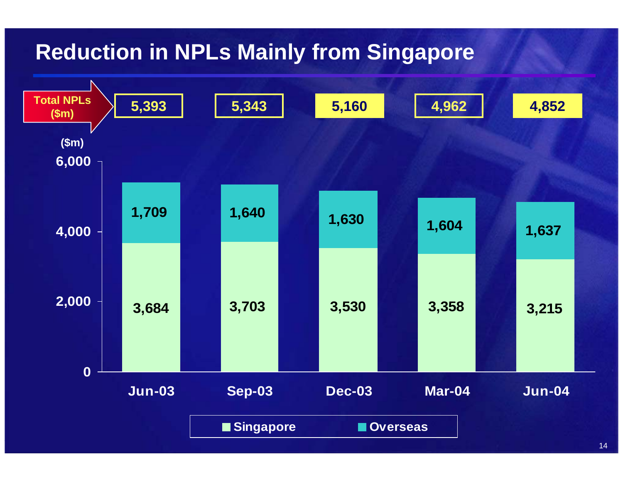# **Reduction in NPLs Mainly from Singapore**

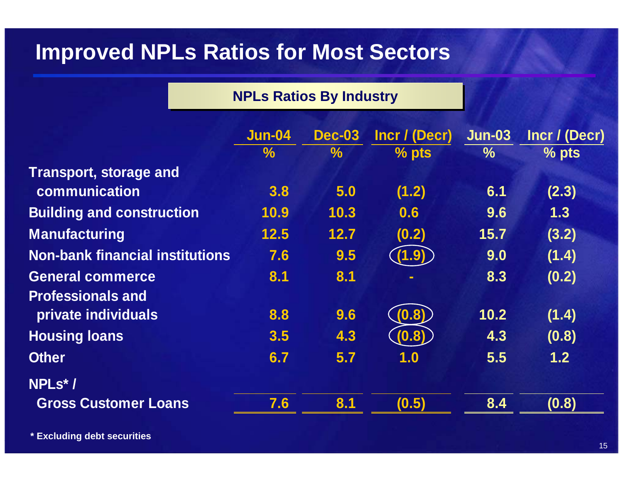### **Improved NPLs Ratios for Most Sectors**

|  |  |  | <b>NPLs Ratios By Industry</b> |
|--|--|--|--------------------------------|
|--|--|--|--------------------------------|

|                                        | Jun-04        | <b>Dec-03</b> | Incr / (Decr) | <b>Jun-03</b> | Incr / (Decr) |
|----------------------------------------|---------------|---------------|---------------|---------------|---------------|
|                                        | $\frac{0}{0}$ | $\frac{1}{2}$ | $%$ pts       | $\%$          | $%$ pts       |
| <b>Transport, storage and</b>          |               |               |               |               |               |
| communication                          | 3.8           | 5.0           | (1.2)         | 6.1           | (2.3)         |
| <b>Building and construction</b>       | 10.9          | 10.3          | 0.6           | 9.6           | 1.3           |
| <b>Manufacturing</b>                   | 12.5          | 12.7          | (0.2)         | 15.7          | (3.2)         |
| <b>Non-bank financial institutions</b> | 7.6           | 9.5           | (1.9)         | 9.0           | (1.4)         |
| <b>General commerce</b>                | 8.1           | 8.1           |               | 8.3           | (0.2)         |
| <b>Professionals and</b>               |               |               |               |               |               |
| private individuals                    | 8.8           | 9.6           | (0.8)         | 10.2          | (1.4)         |
| <b>Housing loans</b>                   | 3.5           | 4.3           | (0.8)         | 4.3           | (0.8)         |
| <b>Other</b>                           | 6.7           | 5.7           | 1.0           | 5.5           | 1.2           |
| NPLs*/                                 |               |               |               |               |               |
| <b>Gross Customer Loans</b>            | 7.6           | 8.1           | (0.5)         | 8.4           | (0.8)         |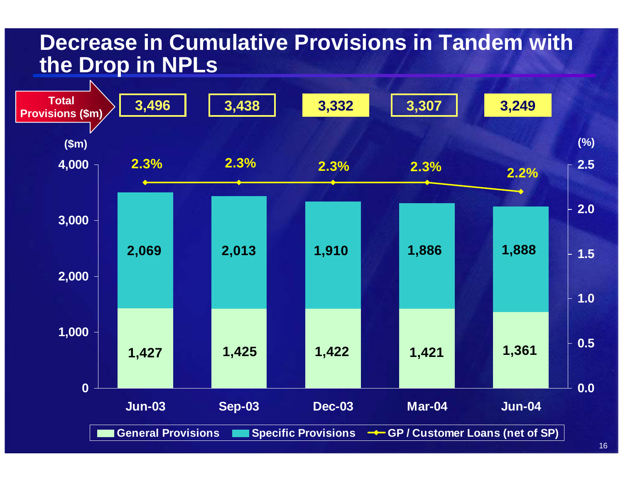#### **Decrease in Cumulative Provisions in Tandem with the Drop in NPLs**

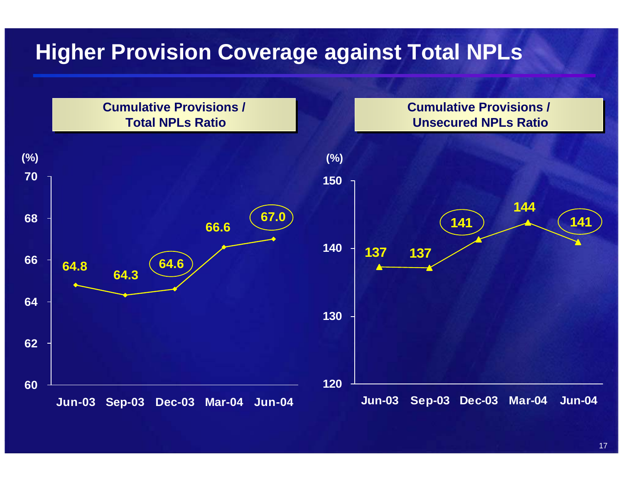# **Higher Provision Coverage against Total NPLs**

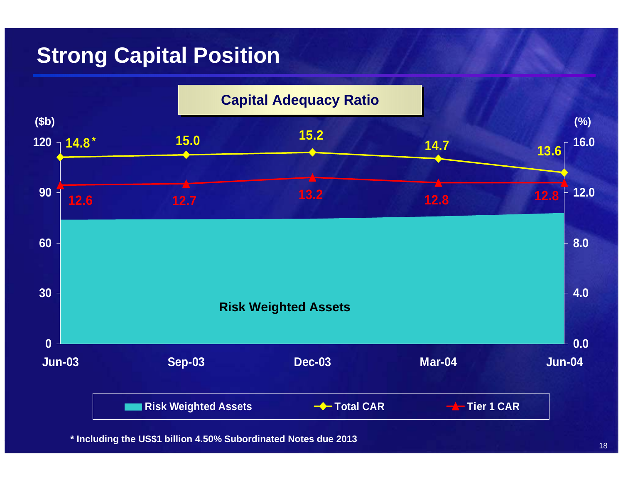### **Strong Capital Position**



**\* Including the U S \$1 billion 4.5 0 % Subordinated Note s due 2 013**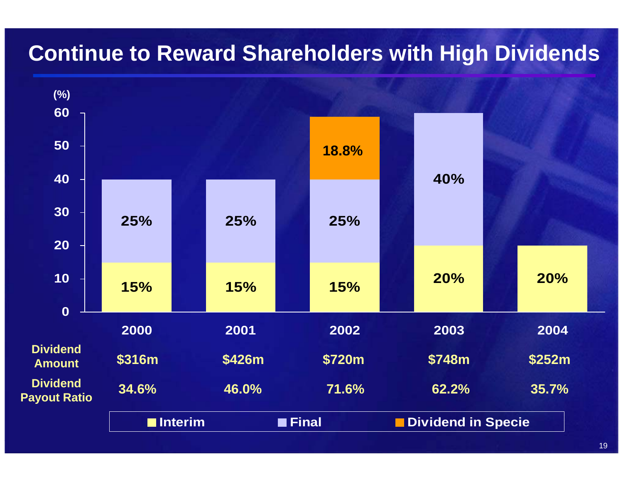# **Continue to Reward Shareholders with High Dividends**